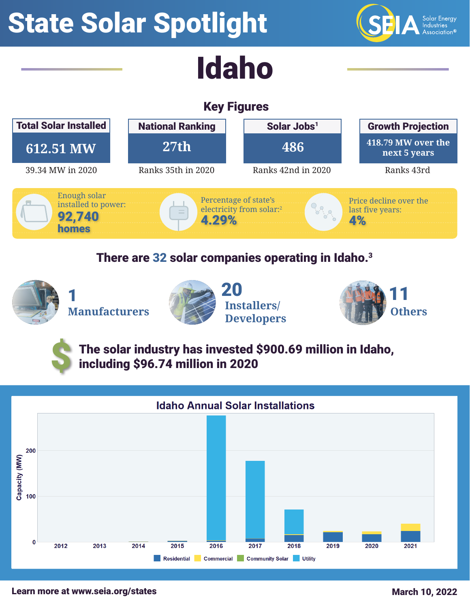# State Solar Spotlight



## Key Figures



#### There are 32 solar companies operating in Idaho.<sup>3</sup>



\$







The solar industry has invested \$900.69 million in Idaho, including \$96.74 million in 2020